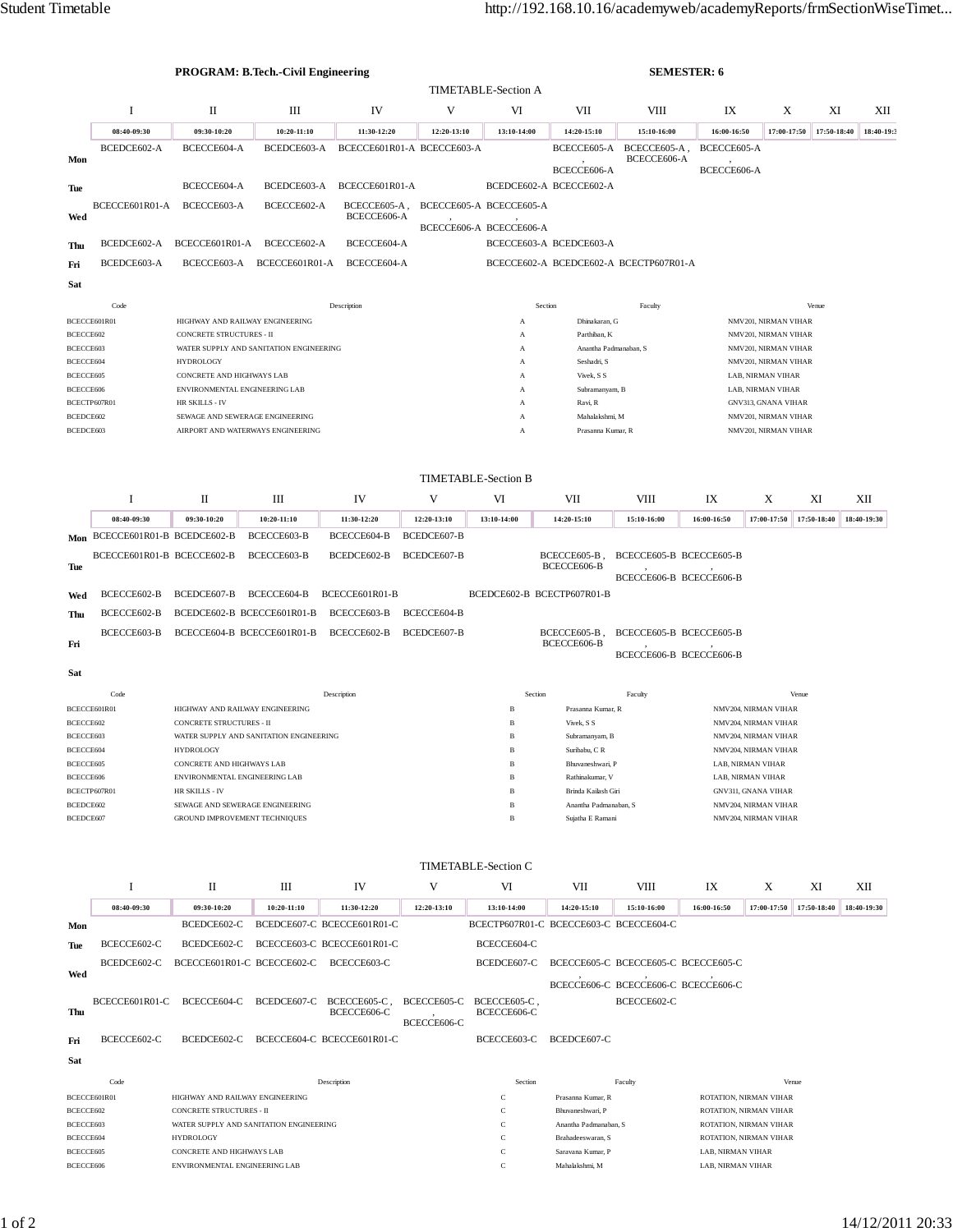|                        |                                | <b>PROGRAM: B.Tech.-Civil Engineering</b><br><b>SEMESTER: 6</b> |                                         |                             |                            |                                       |                                                 |                                              |                                              |                                                    |             |             |
|------------------------|--------------------------------|-----------------------------------------------------------------|-----------------------------------------|-----------------------------|----------------------------|---------------------------------------|-------------------------------------------------|----------------------------------------------|----------------------------------------------|----------------------------------------------------|-------------|-------------|
|                        |                                |                                                                 |                                         |                             |                            | <b>TIMETABLE-Section A</b>            |                                                 |                                              |                                              |                                                    |             |             |
|                        | Ι                              | П                                                               | Ш                                       | IV                          | V                          | VI                                    | VII                                             | VIII                                         | IX                                           | X                                                  | XI          | XІІ         |
|                        | 08:40-09:30                    | 09:30-10:20                                                     | 10:20-11:10                             | 11:30-12:20                 | 12:20-13:10                | 13:10-14:00                           | 14:20-15:10                                     | 15:10-16:00                                  | 16:00-16:50                                  | 17:00-17:50                                        | 17:50-18:40 | 18:40-19:3  |
| Mon                    | BCEDCE602-A                    | BCECCE604-A                                                     | BCEDCE603-A                             |                             | BCECCE601R01-A BCECCE603-A |                                       |                                                 | BCECCE605-A BCECCE605-A,<br>BCECCE606-A      | BCECCE605-A                                  |                                                    |             |             |
|                        |                                |                                                                 |                                         |                             |                            |                                       | BCECCE606-A                                     |                                              | BCECCE606-A                                  |                                                    |             |             |
| Tue                    |                                | BCECCE604-A                                                     | BCEDCE603-A                             | BCECCE601R01-A              |                            |                                       | BCEDCE602-A BCECCE602-A                         |                                              |                                              |                                                    |             |             |
|                        | BCECCE601R01-A                 | BCECCE603-A                                                     | BCECCE602-A                             | BCECCE605-A,                |                            | BCECCE605-A BCECCE605-A               |                                                 |                                              |                                              |                                                    |             |             |
| Wed                    |                                |                                                                 |                                         | BCECCE606-A                 |                            | BCECCE606-A BCECCE606-A               |                                                 |                                              |                                              |                                                    |             |             |
| Thu                    | BCEDCE602-A                    | BCECCE601R01-A                                                  | BCECCE602-A                             | BCECCE604-A                 |                            |                                       | BCECCE603-A BCEDCE603-A                         |                                              |                                              |                                                    |             |             |
| Fri                    | BCEDCE603-A                    | BCECCE603-A                                                     | BCECCE601R01-A                          | BCECCE604-A                 |                            |                                       | BCECCE602-A BCEDCE602-A BCECTP607R01-A          |                                              |                                              |                                                    |             |             |
| Sat                    |                                |                                                                 |                                         |                             |                            |                                       |                                                 |                                              |                                              |                                                    |             |             |
|                        | Code                           |                                                                 |                                         | Description                 |                            |                                       | Section                                         | Faculty                                      |                                              |                                                    | Venue       |             |
|                        | BCECCE601R01                   | HIGHWAY AND RAILWAY ENGINEERING                                 |                                         |                             |                            | A                                     | Dhinakaran, G                                   |                                              |                                              | NMV201, NIRMAN VIHAR                               |             |             |
| BCECCE602<br>BCECCE603 |                                | CONCRETE STRUCTURES - II                                        | WATER SUPPLY AND SANITATION ENGINEERING |                             | A<br>A                     | Parthiban, K<br>Anantha Padmanaban, S |                                                 | NMV201, NIRMAN VIHAR<br>NMV201, NIRMAN VIHAR |                                              |                                                    |             |             |
| BCECCE604              |                                | <b>HYDROLOGY</b>                                                |                                         |                             |                            | $\mathbf{A}$                          | Seshadri, S                                     |                                              |                                              | NMV201, NIRMAN VIHAR                               |             |             |
| BCECCE605              |                                | CONCRETE AND HIGHWAYS LAB                                       |                                         |                             |                            | A                                     | Vivek, S S                                      |                                              |                                              | LAB, NIRMAN VIHAR                                  |             |             |
| BCECCE606              |                                | ENVIRONMENTAL ENGINEERING LAB                                   |                                         |                             |                            | A                                     | Subramanyam, B                                  |                                              |                                              | LAB, NIRMAN VIHAR                                  |             |             |
| BCEDCE602              | BCECTP607R01                   | HR SKILLS - IV<br>SEWAGE AND SEWERAGE ENGINEERING               |                                         |                             |                            | A<br>A                                | Ravi, R<br>Mahalakshmi, M                       |                                              |                                              | GNV313, GNANA VIHAR<br>NMV201, NIRMAN VIHAR        |             |             |
| BCEDCE603              |                                | AIRPORT AND WATERWAYS ENGINEERING                               |                                         |                             |                            | A                                     | Prasanna Kumar, R                               |                                              |                                              | NMV201, NIRMAN VIHAR                               |             |             |
|                        |                                |                                                                 |                                         |                             |                            |                                       |                                                 |                                              |                                              |                                                    |             |             |
|                        |                                |                                                                 |                                         |                             |                            | <b>TIMETABLE-Section B</b>            |                                                 |                                              |                                              |                                                    |             |             |
|                        | I                              | $\mathbf{I}$                                                    | Ш                                       | IV                          | V                          | VI                                    | VII                                             | VIII                                         | IX                                           | X                                                  | XI          | XII         |
|                        | 08:40-09:30                    | 09:30-10:20                                                     | 10:20-11:10                             | 11:30-12:20                 | 12:20-13:10                | 13:10-14:00                           | 14:20-15:10                                     | 15:10-16:00                                  | 16:00-16:50                                  | 17:00-17:50                                        | 17:50-18:40 | 18:40-19:30 |
|                        | Mon BCECCE601R01-B BCEDCE602-B |                                                                 | BCECCE603-B                             | BCECCE604-B                 | BCEDCE607-B                |                                       |                                                 |                                              |                                              |                                                    |             |             |
|                        | BCECCE601R01-B BCECCE602-B     |                                                                 | BCECCE603-B                             | BCEDCE602-B                 | BCEDCE607-B                |                                       | BCECCE605-B,                                    | BCECCE605-B BCECCE605-B                      |                                              |                                                    |             |             |
| Tue                    |                                |                                                                 |                                         |                             |                            |                                       | BCECCE606-B                                     |                                              |                                              |                                                    |             |             |
|                        | BCECCE602-B                    |                                                                 | BCECCE604-B                             | BCECCE601R01-B              |                            |                                       | BCEDCE602-B BCECTP607R01-B                      | BCECCE606-B BCECCE606-B                      |                                              |                                                    |             |             |
| Wed                    |                                | BCEDCE607-B                                                     |                                         |                             |                            |                                       |                                                 |                                              |                                              |                                                    |             |             |
| Thu                    | BCECCE602-B                    | BCEDCE602-B BCECCE601R01-B                                      |                                         | BCECCE603-B                 | BCECCE604-B                |                                       |                                                 |                                              |                                              |                                                    |             |             |
| Fri                    | BCECCE603-B                    | BCECCE604-B BCECCE601R01-B                                      |                                         | BCECCE602-B                 | BCEDCE607-B                |                                       | BCECCE605-B,<br>BCECCE606-B                     | BCECCE605-B BCECCE605-B                      |                                              |                                                    |             |             |
|                        |                                |                                                                 |                                         |                             |                            |                                       |                                                 | BCECCE606-B BCECCE606-B                      |                                              |                                                    |             |             |
| Sat                    |                                |                                                                 |                                         |                             |                            |                                       |                                                 |                                              |                                              |                                                    |             |             |
|                        | Code                           |                                                                 |                                         | Description                 |                            | Section                               |                                                 | Faculty                                      |                                              |                                                    | Venue       |             |
|                        | BCECCE601R01                   | HIGHWAY AND RAILWAY ENGINEERING                                 |                                         |                             |                            | B                                     | Prasanna Kumar, R                               |                                              |                                              | NMV204, NIRMAN VIHAR                               |             |             |
| BCECCE602              |                                | CONCRETE STRUCTURES - II                                        |                                         |                             |                            | B                                     | Vivek, S S                                      |                                              | NMV204, NIRMAN VIHAR                         |                                                    |             |             |
| BCECCE603<br>BCECCE604 |                                | <b>HYDROLOGY</b>                                                | WATER SUPPLY AND SANITATION ENGINEERING |                             |                            | B<br>$_{\rm B}$                       | Subramanyam, B<br>Suribabu, C R                 |                                              | NMV204, NIRMAN VIHAR<br>NMV204, NIRMAN VIHAR |                                                    |             |             |
| BCECCE605              |                                | CONCRETE AND HIGHWAYS LAB                                       |                                         |                             |                            | B                                     | Bhuvaneshwari, P                                |                                              |                                              | LAB, NIRMAN VIHAR                                  |             |             |
| BCECCE606              |                                | ENVIRONMENTAL ENGINEERING LAB                                   |                                         |                             |                            | $_{\rm B}$                            | Rathinakumar, V                                 |                                              |                                              | LAB, NIRMAN VIHAR                                  |             |             |
| BCEDCE602              | BCECTP607R01                   | HR SKILLS - IV<br>SEWAGE AND SEWERAGE ENGINEERING               |                                         |                             |                            | $_{\rm B}$<br>$_{\rm B}$              | Brinda Kailash Giri<br>Anantha Padmanaban, S    |                                              |                                              | <b>GNV311, GNANA VIHAR</b><br>NMV204, NIRMAN VIHAR |             |             |
| BCEDCE607              |                                | GROUND IMPROVEMENT TECHNIQUES                                   |                                         |                             |                            | $\, {\bf B}$                          | Sujatha E Ramani                                |                                              |                                              | NMV204, NIRMAN VIHAR                               |             |             |
|                        |                                |                                                                 |                                         |                             |                            |                                       |                                                 |                                              |                                              |                                                    |             |             |
|                        |                                |                                                                 |                                         |                             |                            | <b>TIMETABLE-Section C</b>            |                                                 |                                              |                                              |                                                    |             |             |
|                        | Ι                              | П                                                               | Ш                                       | IV                          | V                          | VI                                    | VII                                             | VIII                                         | IX                                           | Χ                                                  | XI          | XII         |
|                        | 08:40-09:30                    | 09:30-10:20                                                     | 10:20-11:10                             | 11:30-12:20                 | 12:20-13:10                | 13:10-14:00                           | 14:20-15:10                                     | 15:10-16:00                                  | 16:00-16:50                                  | 17:00-17:50                                        | 17:50-18:40 | 18:40-19:30 |
| Mon                    |                                | BCEDCE602-C                                                     |                                         | BCEDCE607-C BCECCE601R01-C  |                            |                                       | BCECTP607R01-C BCECCE603-C BCECCE604-C          |                                              |                                              |                                                    |             |             |
| Tue                    | BCECCE602-C                    | BCEDCE602-C                                                     |                                         | BCECCE603-C BCECCE601R01-C  |                            | BCECCE604-C                           |                                                 |                                              |                                              |                                                    |             |             |
| Wed                    | BCEDCE602-C                    | BCECCE601R01-C BCECCE602-C                                      |                                         | BCECCE603-C                 |                            | BCEDCE607-C                           |                                                 | BCECCE605-C BCECCE605-C BCECCE605-C          |                                              |                                                    |             |             |
|                        |                                |                                                                 |                                         |                             |                            |                                       |                                                 | BCECCE606-C BCECCE606-C BCECCE606-C          |                                              |                                                    |             |             |
| Thu                    | BCECCE601R01-C                 | BCECCE604-C                                                     | BCEDCE607-C                             | BCECCE605-C,<br>BCECCE606-C | BCECCE605-C                | BCECCE605-C,<br>BCECCE606-C           |                                                 | BCECCE602-C                                  |                                              |                                                    |             |             |
| Fri                    | BCECCE602-C                    | BCEDCE602-C                                                     |                                         | BCECCE604-C BCECCE601R01-C  | BCECCE606-C                | BCECCE603-C                           | BCEDCE607-C                                     |                                              |                                              |                                                    |             |             |
| Sat                    |                                |                                                                 |                                         |                             |                            |                                       |                                                 |                                              |                                              |                                                    |             |             |
|                        |                                |                                                                 |                                         |                             |                            |                                       |                                                 |                                              |                                              |                                                    |             |             |
| Code<br>BCECCE601R01   |                                | HIGHWAY AND RAILWAY ENGINEERING                                 |                                         | Description                 |                            | Section<br>C                          | Prasanna Kumar, R                               | Faculty<br>ROTATION, NIRMAN VIHAR            |                                              |                                                    | Venue       |             |
| BCECCE602              |                                | <b>CONCRETE STRUCTURES - II</b>                                 |                                         |                             |                            | C                                     | Bhuvaneshwari, P                                |                                              | ROTATION, NIRMAN VIHAR                       |                                                    |             |             |
| BCECCE603              |                                | WATER SUPPLY AND SANITATION ENGINEERING                         |                                         |                             |                            | C                                     | Anantha Padmanaban, S<br>ROTATION, NIRMAN VIHAR |                                              |                                              |                                                    |             |             |
| BCECCE604              |                                | <b>HYDROLOGY</b>                                                |                                         |                             |                            | C                                     | Brahadeeswaran, S                               |                                              | ROTATION, NIRMAN VIHAR                       |                                                    |             |             |
| BCECCE605<br>BCECCE606 |                                | CONCRETE AND HIGHWAYS LAB<br>ENVIRONMENTAL ENGINEERING LAB      |                                         |                             |                            | $\mathbf C$<br>$\mathbf C$            | Saravana Kumar, P<br>Mahalakshmi, M             |                                              | LAB, NIRMAN VIHAR<br>LAB, NIRMAN VIHAR       |                                                    |             |             |
|                        |                                |                                                                 |                                         |                             |                            |                                       |                                                 |                                              |                                              |                                                    |             |             |